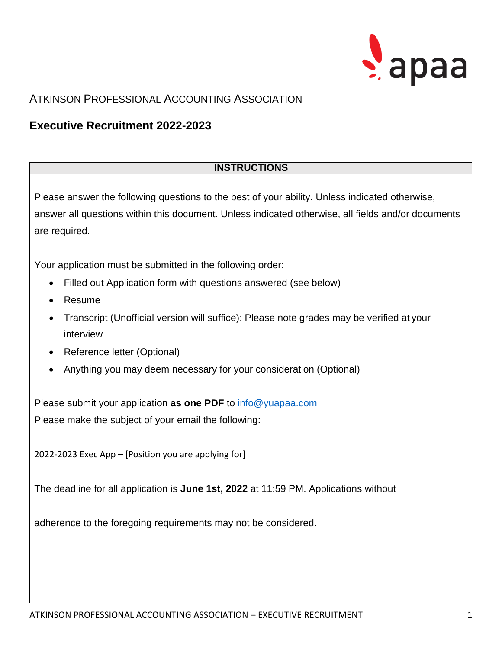

## ATKINSON PROFESSIONAL ACCOUNTING ASSOCIATION

# **Executive Recruitment 2022-2023**

### **INSTRUCTIONS**

Please answer the following questions to the best of your ability. Unless indicated otherwise, answer all questions within this document. Unless indicated otherwise, all fields and/or documents are required.

Your application must be submitted in the following order:

- Filled out Application form with questions answered (see below)
- Resume
- Transcript (Unofficial version will suffice): Please note grades may be verified at your interview
- Reference letter (Optional)
- Anything you may deem necessary for your consideration (Optional)

Please submit your application **as one PDF** to [info@yuapaa.com](mailto:info@yuapaa.com) Please make the subject of your email the following:

2022-2023 Exec App – [Position you are applying for]

The deadline for all application is **June 1st, 2022** at 11:59 PM. Applications without

adherence to the foregoing requirements may not be considered.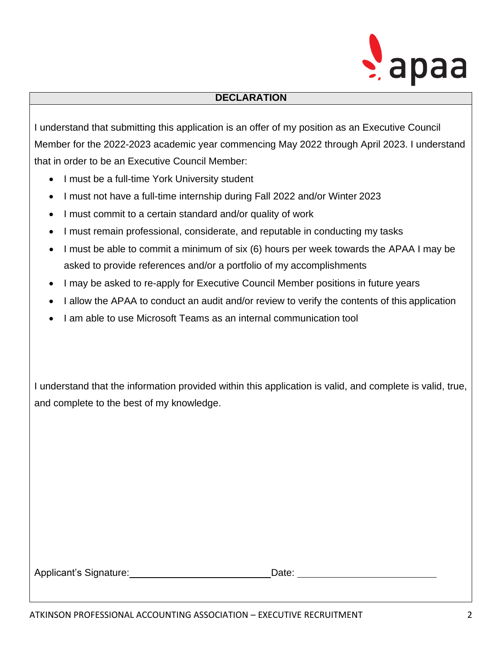

### **DECLARATION**

I understand that submitting this application is an offer of my position as an Executive Council Member for the 2022-2023 academic year commencing May 2022 through April 2023. I understand that in order to be an Executive Council Member:

- I must be a full-time York University student
- I must not have a full-time internship during Fall 2022 and/or Winter 2023
- I must commit to a certain standard and/or quality of work
- I must remain professional, considerate, and reputable in conducting my tasks
- I must be able to commit a minimum of six (6) hours per week towards the APAA I may be asked to provide references and/or a portfolio of my accomplishments
- I may be asked to re-apply for Executive Council Member positions in future years
- I allow the APAA to conduct an audit and/or review to verify the contents of this application
- I am able to use Microsoft Teams as an internal communication tool

I understand that the information provided within this application is valid, and complete is valid, true, and complete to the best of my knowledge.

| Applicant's Signature: | Date: |
|------------------------|-------|
|                        |       |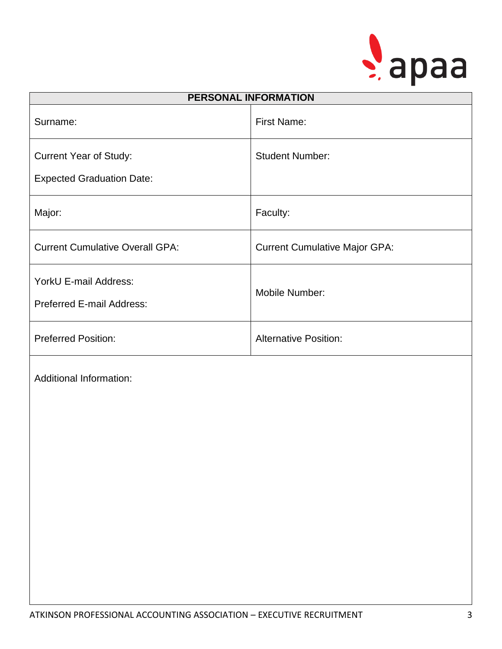

| <b>PERSONAL INFORMATION</b>            |                                      |  |
|----------------------------------------|--------------------------------------|--|
| Surname:                               | <b>First Name:</b>                   |  |
| <b>Current Year of Study:</b>          | <b>Student Number:</b>               |  |
| <b>Expected Graduation Date:</b>       |                                      |  |
| Major:                                 | Faculty:                             |  |
| <b>Current Cumulative Overall GPA:</b> | <b>Current Cumulative Major GPA:</b> |  |
| YorkU E-mail Address:                  | Mobile Number:                       |  |
| Preferred E-mail Address:              |                                      |  |
| <b>Preferred Position:</b>             | <b>Alternative Position:</b>         |  |
| <b>Additional Information:</b>         |                                      |  |
|                                        |                                      |  |
|                                        |                                      |  |
|                                        |                                      |  |
|                                        |                                      |  |
|                                        |                                      |  |
|                                        |                                      |  |
|                                        |                                      |  |